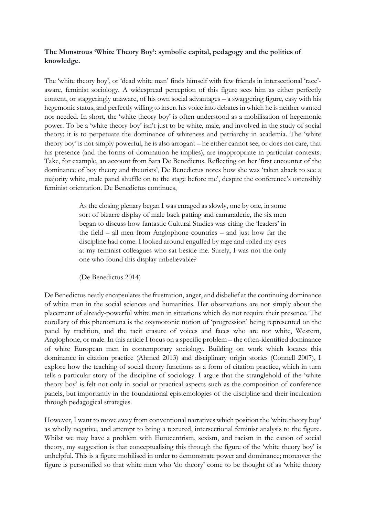# **The Monstrous 'White Theory Boy': symbolic capital, pedagogy and the politics of knowledge.**

The 'white theory boy', or 'dead white man' finds himself with few friends in intersectional 'race' aware, feminist sociology. A widespread perception of this figure sees him as either perfectly content, or staggeringly unaware, of his own social advantages – a swaggering figure, easy with his hegemonic status, and perfectly willing to insert his voice into debates in which he is neither wanted nor needed. In short, the 'white theory boy' is often understood as a mobilisation of hegemonic power. To be a 'white theory boy' isn't just to be white, male, and involved in the study of social theory; it is to perpetuate the dominance of whiteness and patriarchy in academia. The 'white theory boy' is not simply powerful, he is also arrogant – he either cannot see, or does not care, that his presence (and the forms of domination he implies), are inappropriate in particular contexts. Take, for example, an account from Sara De Benedictus. Reflecting on her 'first encounter of the dominance of boy theory and theorists', De Benedictus notes how she was 'taken aback to see a majority white, male panel shuffle on to the stage before me', despite the conference's ostensibly feminist orientation. De Benedictus continues,

> As the closing plenary began I was enraged as slowly, one by one, in some sort of bizarre display of male back patting and camaraderie, the six men began to discuss how fantastic Cultural Studies was citing the 'leaders' in the field – all men from Anglophone countries – and just how far the discipline had come. I looked around engulfed by rage and rolled my eyes at my feminist colleagues who sat beside me. Surely, I was not the only one who found this display unbelievable?

(De Benedictus 2014)

De Benedictus neatly encapsulates the frustration, anger, and disbelief at the continuing dominance of white men in the social sciences and humanities. Her observations are not simply about the placement of already-powerful white men in situations which do not require their presence. The corollary of this phenomena is the oxymoronic notion of 'progression' being represented on the panel by tradition, and the tacit erasure of voices and faces who are not white, Western, Anglophone, or male. In this article I focus on a specific problem – the often-identified dominance of white European men in contemporary sociology. Building on work which locates this dominance in citation practice (Ahmed 2013) and disciplinary origin stories (Connell 2007), I explore how the teaching of social theory functions as a form of citation practice, which in turn tells a particular story of the discipline of sociology. I argue that the stranglehold of the 'white theory boy' is felt not only in social or practical aspects such as the composition of conference panels, but importantly in the foundational epistemologies of the discipline and their inculcation through pedagogical strategies.

However, I want to move away from conventional narratives which position the 'white theory boy' as wholly negative, and attempt to bring a textured, intersectional feminist analysis to the figure. Whilst we may have a problem with Eurocentrism, sexism, and racism in the canon of social theory, my suggestion is that conceptualising this through the figure of the 'white theory boy' is unhelpful. This is a figure mobilised in order to demonstrate power and dominance; moreover the figure is personified so that white men who 'do theory' come to be thought of as 'white theory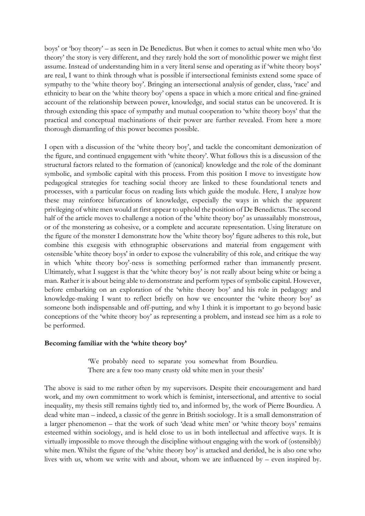boys' or 'boy theory' – as seen in De Benedictus. But when it comes to actual white men who 'do theory' the story is very different, and they rarely hold the sort of monolithic power we might first assume. Instead of understanding him in a very literal sense and operating as if 'white theory boys' are real, I want to think through what is possible if intersectional feminists extend some space of sympathy to the 'white theory boy'. Bringing an intersectional analysis of gender, class, 'race' and ethnicity to bear on the 'white theory boy' opens a space in which a more critical and fine-grained account of the relationship between power, knowledge, and social status can be uncovered. It is through extending this space of sympathy and mutual cooperation to 'white theory boys' that the practical and conceptual machinations of their power are further revealed. From here a more thorough dismantling of this power becomes possible.

I open with a discussion of the 'white theory boy', and tackle the concomitant demonization of the figure, and continued engagement with 'white theory'. What follows this is a discussion of the structural factors related to the formation of (canonical) knowledge and the role of the dominant symbolic, and symbolic capital with this process. From this position I move to investigate how pedagogical strategies for teaching social theory are linked to these foundational tenets and processes, with a particular focus on reading lists which guide the module. Here, I analyze how these may reinforce bifurcations of knowledge, especially the ways in which the apparent privileging of white men would at first appear to uphold the position of De Benedictus. The second half of the article moves to challenge a notion of the 'white theory boy' as unassailably monstrous, or of the monstering as cohesive, or a complete and accurate representation. Using literature on the figure of the monster I demonstrate how the 'white theory boy' figure adheres to this role, but combine this exegesis with ethnographic observations and material from engagement with ostensible 'white theory boys' in order to expose the vulnerability of this role, and critique the way in which 'white theory boy'-ness is something performed rather than immanently present. Ultimately, what I suggest is that the 'white theory boy' is not really about being white or being a man. Rather it is about being able to demonstrate and perform types of symbolic capital. However, before embarking on an exploration of the 'white theory boy' and his role in pedagogy and knowledge-making I want to reflect briefly on how we encounter the 'white theory boy' as someone both indispensable and off-putting, and why I think it is important to go beyond basic conceptions of the 'white theory boy' as representing a problem, and instead see him as a role to be performed.

### **Becoming familiar with the 'white theory boy'**

'We probably need to separate you somewhat from Bourdieu. There are a few too many crusty old white men in your thesis'

The above is said to me rather often by my supervisors. Despite their encouragement and hard work, and my own commitment to work which is feminist, intersectional, and attentive to social inequality, my thesis still remains tightly tied to, and informed by, the work of Pierre Bourdieu. A dead white man – indeed, a classic of the genre in British sociology. It is a small demonstration of a larger phenomenon – that the work of such 'dead white men' or 'white theory boys' remains esteemed within sociology, and is held close to us in both intellectual and affective ways. It is virtually impossible to move through the discipline without engaging with the work of (ostensibly) white men. Whilst the figure of the 'white theory boy' is attacked and derided, he is also one who lives with us, whom we write with and about, whom we are influenced by – even inspired by.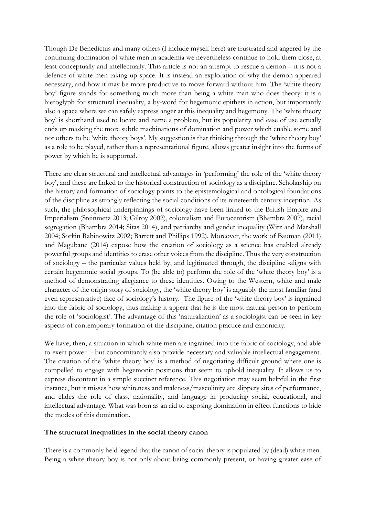Though De Benedictus and many others (I include myself here) are frustrated and angered by the continuing domination of white men in academia we nevertheless continue to hold them close, at least conceptually and intellectually. This article is not an attempt to rescue a demon – it is not a defence of white men taking up space. It is instead an exploration of why the demon appeared necessary, and how it may be more productive to move forward without him. The 'white theory boy' figure stands for something much more than being a white man who does theory: it is a hieroglyph for structural inequality, a by-word for hegemonic epithets in action, but importantly also a space where we can safely express anger at this inequality and hegemony. The 'white theory boy' is shorthand used to locate and name a problem, but its popularity and ease of use actually ends up masking the more subtle machinations of domination and power which enable some and not others to be 'white theory boys'. My suggestion is that thinking through the 'white theory boy' as a role to be played, rather than a representational figure, allows greater insight into the forms of power by which he is supported.

There are clear structural and intellectual advantages in 'performing' the role of the 'white theory boy', and these are linked to the historical construction of sociology as a discipline. Scholarship on the history and formation of sociology points to the epistemological and ontological foundations of the discipline as strongly reflecting the social conditions of its nineteenth century inception. As such, the philosophical underpinnings of sociology have been linked to the British Empire and Imperialism (Steinmetz 2013; Gilroy 2002), colonialism and Eurocentrism (Bhambra 2007), racial segregation (Bhambra 2014; Sitas 2014), and patriarchy and gender inequality (Witz and Marshall 2004; Sorkin Rabinowitz 2002; Barrett and Phillips 1992). Moreover, the work of Bauman (2011) and Magubane (2014) expose how the creation of sociology as a science has enabled already powerful groups and identities to erase other voices from the discipline. Thus the very construction of sociology – the particular values held by, and legitimated through, the discipline -aligns with certain hegemonic social groups. To (be able to) perform the role of the 'white theory boy' is a method of demonstrating allegiance to these identities. Owing to the Western, white and male character of the origin story of sociology, the 'white theory boy' is arguably the most familiar (and even representative) face of sociology's history. The figure of the 'white theory boy' is ingrained into the fabric of sociology, thus making it appear that he is the most natural person to perform the role of 'sociologist'. The advantage of this 'naturalization' as a sociologist can be seen in key aspects of contemporary formation of the discipline, citation practice and canonicity.

We have, then, a situation in which white men are ingrained into the fabric of sociology, and able to exert power - but concomitantly also provide necessary and valuable intellectual engagement. The creation of the 'white theory boy' is a method of negotiating difficult ground where one is compelled to engage with hegemonic positions that seem to uphold inequality. It allows us to express discontent in a simple succinct reference. This negotiation may seem helpful in the first instance, but it misses how whiteness and maleness/masculinity are slippery sites of performance, and elides the role of class, nationality, and language in producing social, educational, and intellectual advantage. What was born as an aid to exposing domination in effect functions to hide the modes of this domination.

### **The structural inequalities in the social theory canon**

There is a commonly held legend that the canon of social theory is populated by (dead) white men. Being a white theory boy is not only about being commonly present, or having greater ease of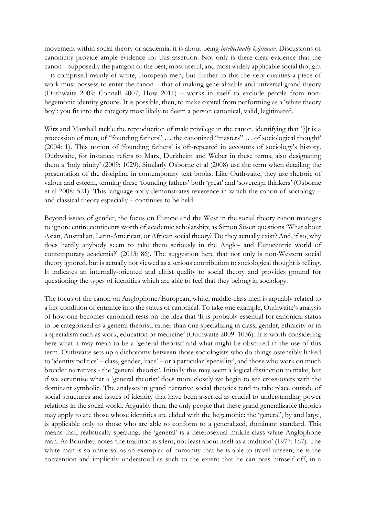movement within social theory or academia, it is about being *intellectually legitimate*. Discussions of canonicity provide ample evidence for this assertion. Not only is there clear evidence that the canon – supposedly the paragon of the best, most useful, and most widely applicable social thought – is comprised mainly of white, European men, but further to this the very qualities a piece of work must possess to enter the canon – that of making generalizable and universal grand theory (Outhwaite 2009; Connell 2007; How 2011) – works in itself to exclude people from nonhegemonic identity groups. It is possible, then, to make capital from performing as a 'white theory boy': you fit into the category most likely to deem a person canonical, valid, legitimated.

Witz and Marshall tackle the reproduction of male privilege in the canon, identifying that '[i]t is a procession of men, of "founding fathers" … the canonized "masters" … of sociological thought' (2004: 1). This notion of 'founding fathers' is oft-repeated in accounts of sociology's history. Outhwaite, for instance, refers to Marx, Durkheim and Weber in these terms, also designating them a 'holy trinity' (2009: 1029). Similarly Osborne et al (2008) use the term when detailing the presentation of the discipline in contemporary text books. Like Outhwaite, they use rhetoric of valour and esteem, terming these 'founding fathers' both 'great' and 'sovereign thinkers' (Osborne et al 2008: 521). This language aptly demonstrates reverence in which the canon of sociology – and classical theory especially – continues to be held.

Beyond issues of gender, the focus on Europe and the West in the social theory canon manages to ignore entire continents worth of academic scholarship; as Simon Susen questions 'What about Asian, Australian, Latin-American, or African social theory? Do they actually exist? And, if so, why does hardly anybody seem to take them seriously in the Anglo- and Eurocentric world of contemporary academia?' (2013: 86). The suggestion here that not only is non-Western social theory ignored, but is actually not viewed as a serious contribution to sociological thought is telling. It indicates an internally-oriented and elitist quality to social theory and provides ground for questioning the types of identities which are able to feel that they belong in sociology.

The focus of the canon on Anglophone/European, white, middle-class men is arguably related to a key condition of entrance into the status of canonical. To take one example, Outhwaite's analysis of how one becomes canonical rests on the idea that 'It is probably essential for canonical status to be categorized as a general theorist, rather than one specializing in class, gender, ethnicity or in a specialism such as work, education or medicine' (Outhwaite 2009: 1036). It is worth considering here what it may mean to be a 'general theorist' and what might be obscured in the use of this term. Outhwaite sets up a dichotomy between those sociologists who do things ostensibly linked to 'identity politics' – class, gender, 'race' – or a particular 'speciality', and those who work on much broader narratives - the 'general theorist'. Initially this may seem a logical distinction to make, but if we scrutinise what a 'general theorist' does more closely we begin to see cross-overs with the dominant symbolic. The analyses in grand narrative social theories tend to take place outside of social structures and issues of identity that have been asserted as crucial to understanding power relations in the social world. Arguably then, the only people that these grand generalizable theories may apply to are those whose identities are elided with the hegemonic: the 'general', by and large, is applicable only to those who are able to conform to a generalized, dominant standard. This means that, realistically speaking, the 'general' is a heterosexual middle-class white Anglophone man. As Bourdieu notes 'the tradition is silent, not least about itself as a tradition' (1977: 167). The white man is so universal as an exemplar of humanity that he is able to travel unseen; he is the convention and implicitly understood as such to the extent that he can pass himself off, in a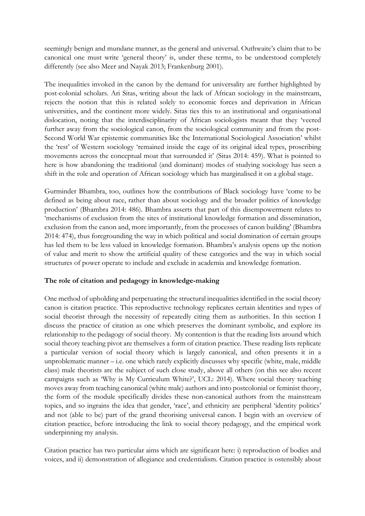seemingly benign and mundane manner, as the general and universal. Outhwaite's claim that to be canonical one must write 'general theory' is, under these terms, to be understood completely differently (see also Meer and Nayak 2013; Frankenburg 2001).

The inequalities invoked in the canon by the demand for universality are further highlighted by post-colonial scholars. Ari Sitas, writing about the lack of African sociology in the mainstream, rejects the notion that this is related solely to economic forces and deprivation in African universities, and the continent more widely. Sitas ties this to an institutional and organisational dislocation, noting that the interdisciplinarity of African sociologists meant that they 'veered further away from the sociological canon, from the sociological community and from the post-Second World War epistemic communities like the International Sociological Association' whilst the 'rest' of Western sociology 'remained inside the cage of its original ideal types, proscribing movements across the conceptual moat that surrounded it' (Sitas 2014: 459). What is pointed to here is how abandoning the traditional (and dominant) modes of studying sociology has seen a shift in the role and operation of African sociology which has marginalised it on a global stage.

Gurminder Bhambra, too, outlines how the contributions of Black sociology have 'come to be defined as being about race, rather than about sociology and the broader politics of knowledge production' (Bhambra 2014: 486). Bhambra asserts that part of this disempowerment relates to 'mechanisms of exclusion from the sites of institutional knowledge formation and dissemination, exclusion from the canon and, more importantly, from the processes of canon building' (Bhambra 2014: 474), thus foregrounding the way in which political and social domination of certain groups has led them to be less valued in knowledge formation. Bhambra's analysis opens up the notion of value and merit to show the artificial quality of these categories and the way in which social structures of power operate to include and exclude in academia and knowledge formation.

### **The role of citation and pedagogy in knowledge-making**

One method of upholding and perpetuating the structural inequalities identified in the social theory canon is citation practice. This reproductive technology replicates certain identities and types of social theorist through the necessity of repeatedly citing them as authorities. In this section I discuss the practice of citation as one which preserves the dominant symbolic, and explore its relationship to the pedagogy of social theory. My contention is that the reading lists around which social theory teaching pivot are themselves a form of citation practice. These reading lists replicate a particular version of social theory which is largely canonical, and often presents it in a unproblematic manner – i.e. one which rarely explicitly discusses why specific (white, male, middle class) male theorists are the subject of such close study, above all others (on this see also recent campaigns such as 'Why is My Curriculum White?', UCL: 2014). Where social theory teaching moves away from teaching canonical (white male) authors and into postcolonial or feminist theory, the form of the module specifically divides these non-canonical authors from the mainstream topics, and so ingrains the idea that gender, 'race', and ethnicity are peripheral 'identity politics' and not (able to be) part of the grand theorising universal canon. I begin with an overview of citation practice, before introducing the link to social theory pedagogy, and the empirical work underpinning my analysis.

Citation practice has two particular aims which are significant here: i) reproduction of bodies and voices, and ii) demonstration of allegiance and credentialism. Citation practice is ostensibly about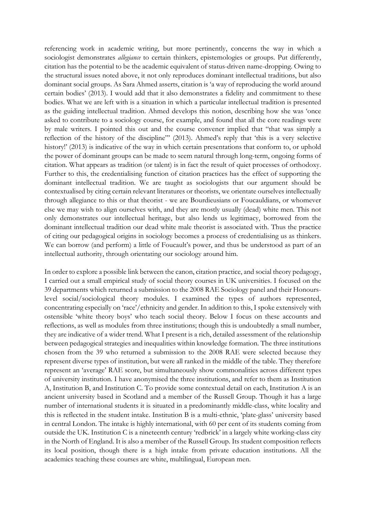referencing work in academic writing, but more pertinently, concerns the way in which a sociologist demonstrates *allegiance* to certain thinkers, epistemologies or groups. Put differently, citation has the potential to be the academic equivalent of status-driven name-dropping. Owing to the structural issues noted above, it not only reproduces dominant intellectual traditions, but also dominant social groups. As Sara Ahmed asserts, citation is 'a way of reproducing the world around certain bodies' (2013). I would add that it also demonstrates a fidelity and commitment to these bodies. What we are left with is a situation in which a particular intellectual tradition is presented as the guiding intellectual tradition. Ahmed develops this notion, describing how she was 'once asked to contribute to a sociology course, for example, and found that all the core readings were by male writers. I pointed this out and the course convener implied that "that was simply a reflection of the history of the discipline"' (2013). Ahmed's reply that 'this is a very selective history!' (2013) is indicative of the way in which certain presentations that conform to, or uphold the power of dominant groups can be made to seem natural through long-term, ongoing forms of citation. What appears as tradition (or talent) is in fact the result of quiet processes of orthodoxy. Further to this, the credentialising function of citation practices has the effect of supporting the dominant intellectual tradition. We are taught as sociologists that our argument should be contextualised by citing certain relevant literatures or theorists, we orientate ourselves intellectually through allegiance to this or that theorist - we are Bourdieusians or Foucauldians, or whomever else we may wish to align ourselves with, and they are mostly usually (dead) white men. This not only demonstrates our intellectual heritage, but also lends us legitimacy, borrowed from the dominant intellectual tradition our dead white male theorist is associated with. Thus the practice of citing our pedagogical origins in sociology becomes a process of credentialising us as thinkers. We can borrow (and perform) a little of Foucault's power, and thus be understood as part of an intellectual authority, through orientating our sociology around him.

In order to explore a possible link between the canon, citation practice, and social theory pedagogy, I carried out a small empirical study of social theory courses in UK universities. I focused on the 39 departments which returned a submission to the 2008 RAE Sociology panel and their Honourslevel social/sociological theory modules. I examined the types of authors represented, concentrating especially on 'race'/ethnicity and gender. In addition to this, I spoke extensively with ostensible 'white theory boys' who teach social theory. Below I focus on these accounts and reflections, as well as modules from three institutions; though this is undoubtedly a small number, they are indicative of a wider trend. What I present is a rich, detailed assessment of the relationship between pedagogical strategies and inequalities within knowledge formation. The three institutions chosen from the 39 who returned a submission to the 2008 RAE were selected because they represent diverse types of institution, but were all ranked in the middle of the table. They therefore represent an 'average' RAE score, but simultaneously show commonalities across different types of university institution. I have anonymised the three institutions, and refer to them as Institution A, Institution B, and Institution C. To provide some contextual detail on each, Institution A is an ancient university based in Scotland and a member of the Russell Group. Though it has a large number of international students it is situated in a predominantly middle-class, white locality and this is reflected in the student intake. Institution B is a multi-ethnic, 'plate-glass' university based in central London. The intake is highly international, with 60 per cent of its students coming from outside the UK. Institution C is a nineteenth century 'redbrick' in a largely white working-class city in the North of England. It is also a member of the Russell Group. Its student composition reflects its local position, though there is a high intake from private education institutions. All the academics teaching these courses are white, multilingual, European men.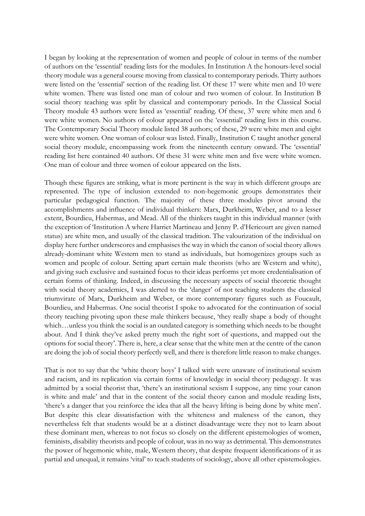I began by looking at the representation of women and people of colour in terms of the number of authors on the 'essential' reading lists for the modules. In Institution A the honours-level social theory module was a general course moving from classical to contemporary periods. Thirty authors were listed on the 'essential' section of the reading list. Of these 17 were white men and 10 were white women. There was listed one man of colour and two women of colour. In Institution B social theory teaching was split by classical and contemporary periods. In the Classical Social Theory module 43 authors were listed as 'essential' reading. Of these, 37 were white men and 6 were white women. No authors of colour appeared on the 'essential' reading lists in this course. The Contemporary Social Theory module listed 38 authors; of these, 29 were white men and eight were white women. One woman of colour was listed. Finally, Institution C taught another general social theory module, encompassing work from the nineteenth century onward. The 'essential' reading list here contained 40 authors. Of these 31 were white men and five were white women. One man of colour and three women of colour appeared on the lists.

Though these figures are striking, what is more pertinent is the way in which different groups are represented. The type of inclusion extended to non-hegemonic groups demonstrates their particular pedagogical function. The majority of these three modules pivot around the accomplishments and influence of individual thinkers: Marx, Durkheim, Weber, and to a lesser extent, Bourdieu, Habermas, and Mead. All of the thinkers taught in this individual manner (with the exception of 'Institution A where Harriet Martineau and Jenny P. d'Hericourt are given named status) are white men, and usually of the classical tradition. The valourization of the individual on display here further underscores and emphasises the way in which the canon of social theory allows already-dominant white Western men to stand as individuals, but homogenizes groups such as women and people of colour. Setting apart certain male theorists (who are Western and white), and giving such exclusive and sustained focus to their ideas performs yet more credentialisation of certain forms of thinking. Indeed, in discussing the necessary aspects of social theoretic thought with social theory academics, I was alerted to the 'danger' of not teaching students the classical triumvirate of Marx, Durkheim and Weber, or more contemporary figures such as Foucault, Bourdieu, and Habermas. One social theorist I spoke to advocated for the continuation of social theory teaching pivoting upon these male thinkers because, 'they really shape a body of thought which…unless you think the social is an outdated category is something which needs to be thought about. And I think they've asked pretty much the right sort of questions, and mapped out the options for social theory'. There is, here, a clear sense that the white men at the centre of the canon are doing the job of social theory perfectly well, and there is therefore little reason to make changes.

That is not to say that the 'white theory boys' I talked with were unaware of institutional sexism and racism, and its replication via certain forms of knowledge in social theory pedagogy. It was admitted by a social theorist that, 'there's an institutional sexism I suppose, any time your canon is white and male' and that in the content of the social theory canon and module reading lists, 'there's a danger that you reinforce the idea that all the heavy lifting is being done by white men'. But despite this clear dissatisfaction with the whiteness and maleness of the canon, they nevertheless felt that students would be at a distinct disadvantage were they not to learn about these dominant men, whereas to not focus so closely on the different epistemologies of women, feminists, disability theorists and people of colour, was in no way as detrimental. This demonstrates the power of hegemonic white, male, Western theory, that despite frequent identifications of it as partial and unequal, it remains 'vital' to teach students of sociology, above all other epistemologies.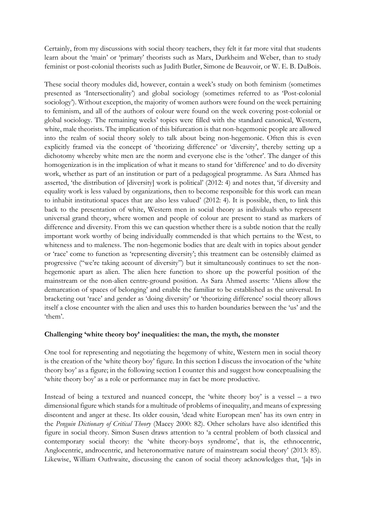Certainly, from my discussions with social theory teachers, they felt it far more vital that students learn about the 'main' or 'primary' theorists such as Marx, Durkheim and Weber, than to study feminist or post-colonial theorists such as Judith Butler, Simone de Beauvoir, or W. E. B. DuBois.

These social theory modules did, however, contain a week's study on both feminism (sometimes presented as 'Intersectionality') and global sociology (sometimes referred to as 'Post-colonial sociology'). Without exception, the majority of women authors were found on the week pertaining to feminism, and all of the authors of colour were found on the week covering post-colonial or global sociology. The remaining weeks' topics were filled with the standard canonical, Western, white, male theorists. The implication of this bifurcation is that non-hegemonic people are allowed into the realm of social theory solely to talk about being non-hegemonic. Often this is even explicitly framed via the concept of 'theorizing difference' or 'diversity', thereby setting up a dichotomy whereby white men are the norm and everyone else is the 'other'. The danger of this homogenization is in the implication of what it means to stand for 'difference' and to do diversity work, whether as part of an institution or part of a pedagogical programme. As Sara Ahmed has asserted, 'the distribution of [diversity] work is political' (2012: 4) and notes that, 'if diversity and equality work is less valued by organizations, then to become responsible for this work can mean to inhabit institutional spaces that are also less valued' (2012: 4). It is possible, then, to link this back to the presentation of white, Western men in social theory as individuals who represent universal grand theory, where women and people of colour are present to stand as markers of difference and diversity. From this we can question whether there is a subtle notion that the really important work worthy of being individually commended is that which pertains to the West, to whiteness and to maleness. The non-hegemonic bodies that are dealt with in topics about gender or 'race' come to function as 'representing diversity'; this treatment can be ostensibly claimed as progressive ("we're taking account of diversity") but it simultaneously continues to set the nonhegemonic apart as alien. The alien here function to shore up the powerful position of the mainstream or the non-alien centre-ground position. As Sara Ahmed asserts: 'Aliens allow the demarcation of spaces of belonging' and enable the familiar to be established as the universal. In bracketing out 'race' and gender as 'doing diversity' or 'theorizing difference' social theory allows itself a close encounter with the alien and uses this to harden boundaries between the 'us' and the 'them'.

### **Challenging 'white theory boy' inequalities: the man, the myth, the monster**

One tool for representing and negotiating the hegemony of white, Western men in social theory is the creation of the 'white theory boy' figure. In this section I discuss the invocation of the 'white theory boy' as a figure; in the following section I counter this and suggest how conceptualising the 'white theory boy' as a role or performance may in fact be more productive.

Instead of being a textured and nuanced concept, the 'white theory boy' is a vessel  $-$  a two dimensional figure which stands for a multitude of problems of inequality, and means of expressing discontent and anger at these. Its older cousin, 'dead white European men' has its own entry in the *Penguin Dictionary of Critical Theory* (Macey 2000: 82). Other scholars have also identified this figure in social theory. Simon Susen draws attention to 'a central problem of both classical and contemporary social theory: the 'white theory-boys syndrome', that is, the ethnocentric, Anglocentric, androcentric, and heteronormative nature of mainstream social theory' (2013: 85). Likewise, William Outhwaite, discussing the canon of social theory acknowledges that, '[a]s in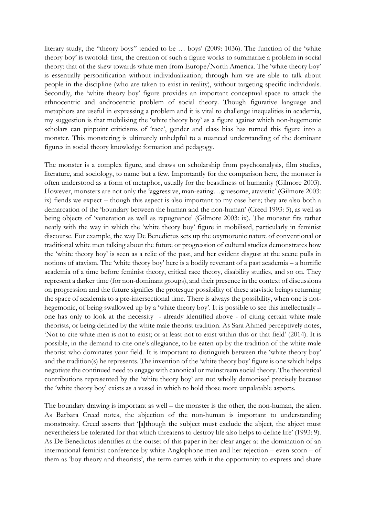literary study, the "theory boys" tended to be … boys' (2009: 1036). The function of the 'white theory boy' is twofold: first, the creation of such a figure works to summarize a problem in social theory: that of the skew towards white men from Europe/North America. The 'white theory boy' is essentially personification without individualization; through him we are able to talk about people in the discipline (who are taken to exist in reality), without targeting specific individuals. Secondly, the 'white theory boy' figure provides an important conceptual space to attack the ethnocentric and androcentric problem of social theory. Though figurative language and metaphors are useful in expressing a problem and it is vital to challenge inequalities in academia, my suggestion is that mobilising the 'white theory boy' as a figure against which non-hegemonic scholars can pinpoint criticisms of 'race', gender and class bias has turned this figure into a monster. This monstering is ultimately unhelpful to a nuanced understanding of the dominant figures in social theory knowledge formation and pedagogy.

The monster is a complex figure, and draws on scholarship from psychoanalysis, film studies, literature, and sociology, to name but a few. Importantly for the comparison here, the monster is often understood as a form of metaphor, usually for the beastliness of humanity (Gilmore 2003). However, monsters are not only the 'aggressive, man-eating…gruesome, atavistic' (Gilmore 2003: ix) fiends we expect – though this aspect is also important to my case here; they are also both a demarcation of the 'boundary between the human and the non-human' (Creed 1993: 5), as well as being objects of 'veneration as well as repugnance' (Gilmore 2003: ix). The monster fits rather neatly with the way in which the 'white theory boy' figure in mobilised, particularly in feminist discourse. For example, the way De Benedictus sets up the oxymoronic nature of conventional or traditional white men talking about the future or progression of cultural studies demonstrates how the 'white theory boy' is seen as a relic of the past, and her evident disgust at the scene pulls in notions of atavism. The 'white theory boy' here is a bodily revenant of a past academia – a horrific academia of a time before feminist theory, critical race theory, disability studies, and so on. They represent a darker time (for non-dominant groups), and their presence in the context of discussions on progression and the future signifies the grotesque possibility of these atavistic beings returning the space of academia to a pre-intersectional time. There is always the possibility, when one is nothegemonic, of being swallowed up by a 'white theory boy'. It is possible to see this intellectually – one has only to look at the necessity - already identified above - of citing certain white male theorists, or being defined by the white male theorist tradition. As Sara Ahmed perceptively notes, 'Not to cite white men is not to exist; or at least not to exist within this or that field' (2014). It is possible, in the demand to cite one's allegiance, to be eaten up by the tradition of the white male theorist who dominates your field. It is important to distinguish between the 'white theory boy' and the tradition(s) he represents. The invention of the 'white theory boy' figure is one which helps negotiate the continued need to engage with canonical or mainstream social theory. The theoretical contributions represented by the 'white theory boy' are not wholly demonised precisely because the 'white theory boy' exists as a vessel in which to hold those more unpalatable aspects.

The boundary drawing is important as well – the monster is the other, the non-human, the alien. As Barbara Creed notes, the abjection of the non-human is important to understanding monstrosity. Creed asserts that '[a]though the subject must exclude the abject, the abject must nevertheless be tolerated for that which threatens to destroy life also helps to define life' (1993: 9). As De Benedictus identifies at the outset of this paper in her clear anger at the domination of an international feminist conference by white Anglophone men and her rejection – even scorn – of them as 'boy theory and theorists', the term carries with it the opportunity to express and share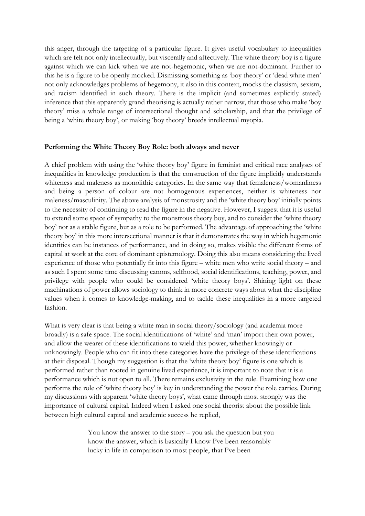this anger, through the targeting of a particular figure. It gives useful vocabulary to inequalities which are felt not only intellectually, but viscerally and affectively. The white theory boy is a figure against which we can kick when we are not-hegemonic, when we are not-dominant. Further to this he is a figure to be openly mocked. Dismissing something as 'boy theory' or 'dead white men' not only acknowledges problems of hegemony, it also in this context, mocks the classism, sexism, and racism identified in such theory. There is the implicit (and sometimes explicitly stated) inference that this apparently grand theorising is actually rather narrow, that those who make 'boy theory' miss a whole range of intersectional thought and scholarship, and that the privilege of being a 'white theory boy', or making 'boy theory' breeds intellectual myopia.

#### **Performing the White Theory Boy Role: both always and never**

A chief problem with using the 'white theory boy' figure in feminist and critical race analyses of inequalities in knowledge production is that the construction of the figure implicitly understands whiteness and maleness as monolithic categories. In the same way that femaleness/womanliness and being a person of colour are not homogenous experiences, neither is whiteness nor maleness/masculinity. The above analysis of monstrosity and the 'white theory boy' initially points to the necessity of continuing to read the figure in the negative. However, I suggest that it is useful to extend some space of sympathy to the monstrous theory boy, and to consider the 'white theory boy' not as a stable figure, but as a role to be performed. The advantage of approaching the 'white theory boy' in this more intersectional manner is that it demonstrates the way in which hegemonic identities can be instances of performance, and in doing so, makes visible the different forms of capital at work at the core of dominant epistemology. Doing this also means considering the lived experience of those who potentially fit into this figure – white men who write social theory – and as such I spent some time discussing canons, selfhood, social identifications, teaching, power, and privilege with people who could be considered 'white theory boys'. Shining light on these machinations of power allows sociology to think in more concrete ways about what the discipline values when it comes to knowledge-making, and to tackle these inequalities in a more targeted fashion.

What is very clear is that being a white man in social theory/sociology (and academia more broadly) is a safe space. The social identifications of 'white' and 'man' import their own power, and allow the wearer of these identifications to wield this power, whether knowingly or unknowingly. People who can fit into these categories have the privilege of these identifications at their disposal. Though my suggestion is that the 'white theory boy' figure is one which is performed rather than rooted in genuine lived experience, it is important to note that it is a performance which is not open to all. There remains exclusivity in the role. Examining how one performs the role of 'white theory boy' is key in understanding the power the role carries. During my discussions with apparent 'white theory boys', what came through most strongly was the importance of cultural capital. Indeed when I asked one social theorist about the possible link between high cultural capital and academic success he replied,

> You know the answer to the story – you ask the question but you know the answer, which is basically I know I've been reasonably lucky in life in comparison to most people, that I've been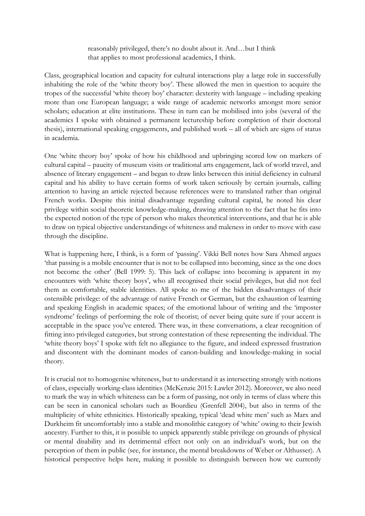# reasonably privileged, there's no doubt about it. And…but I think that applies to most professional academics, I think.

Class, geographical location and capacity for cultural interactions play a large role in successfully inhabiting the role of the 'white theory boy'. These allowed the men in question to acquire the tropes of the successful 'white theory boy' character: dexterity with language – including speaking more than one European language; a wide range of academic networks amongst more senior scholars; education at elite institutions. These in turn can be mobilised into jobs (several of the academics I spoke with obtained a permanent lectureship before completion of their doctoral thesis), international speaking engagements, and published work – all of which are signs of status in academia.

One 'white theory boy' spoke of how his childhood and upbringing scored low on markers of cultural capital – paucity of museum visits or traditional arts engagement, lack of world travel, and absence of literary engagement – and began to draw links between this initial deficiency in cultural capital and his ability to have certain forms of work taken seriously by certain journals, calling attention to having an article rejected because references were to translated rather than original French works. Despite this initial disadvantage regarding cultural capital, he noted his clear privilege within social theoretic knowledge-making, drawing attention to the fact that he fits into the expected notion of the type of person who makes theoretical interventions, and that he is able to draw on typical objective understandings of whiteness and maleness in order to move with ease through the discipline.

What is happening here, I think, is a form of 'passing'. Vikki Bell notes how Sara Ahmed argues 'that passing is a mobile encounter that is not to be collapsed into becoming, since as the one does not become the other' (Bell 1999: 5). This lack of collapse into becoming is apparent in my encounters with 'white theory boys', who all recognised their social privileges, but did not feel them as comfortable, stable identities. All spoke to me of the hidden disadvantages of their ostensible privilege: of the advantage of native French or German, but the exhaustion of learning and speaking English in academic spaces; of the emotional labour of writing and the 'imposter syndrome' feelings of performing the role of theorist; of never being quite sure if your accent is acceptable in the space you've entered. There was, in these conversations, a clear recognition of fitting into privileged categories, but strong contestation of these representing the individual. The 'white theory boys' I spoke with felt no allegiance to the figure, and indeed expressed frustration and discontent with the dominant modes of canon-building and knowledge-making in social theory.

It is crucial not to homogenise whiteness, but to understand it as intersecting strongly with notions of class, especially working-class identities (McKenzie 2015: Lawler 2012). Moreover, we also need to mark the way in which whiteness can be a form of passing, not only in terms of class where this can be seen in canonical scholars such as Bourdieu (Grenfell 2004), but also in terms of the multiplicity of white ethnicities. Historically speaking, typical 'dead white men' such as Marx and Durkheim fit uncomfortably into a stable and monolithic category of 'white' owing to their Jewish ancestry. Further to this, it is possible to unpick apparently stable privilege on grounds of physical or mental disability and its detrimental effect not only on an individual's work, but on the perception of them in public (see, for instance, the mental breakdowns of Weber or Althusser). A historical perspective helps here, making it possible to distinguish between how we currently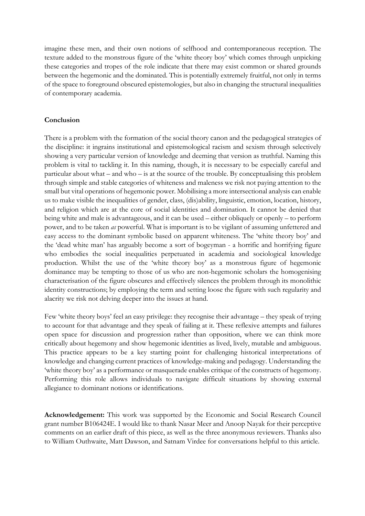imagine these men, and their own notions of selfhood and contemporaneous reception. The texture added to the monstrous figure of the 'white theory boy' which comes through unpicking these categories and tropes of the role indicate that there may exist common or shared grounds between the hegemonic and the dominated. This is potentially extremely fruitful, not only in terms of the space to foreground obscured epistemologies, but also in changing the structural inequalities of contemporary academia.

#### **Conclusion**

There is a problem with the formation of the social theory canon and the pedagogical strategies of the discipline: it ingrains institutional and epistemological racism and sexism through selectively showing a very particular version of knowledge and deeming that version as truthful. Naming this problem is vital to tackling it. In this naming, though, it is necessary to be especially careful and particular about what – and who – is at the source of the trouble. By conceptualising this problem through simple and stable categories of whiteness and maleness we risk not paying attention to the small but vital operations of hegemonic power. Mobilising a more intersectional analysis can enable us to make visible the inequalities of gender, class, (dis)ability, linguistic, emotion, location, history, and religion which are at the core of social identities and domination. It cannot be denied that being white and male is advantageous, and it can be used – either obliquely or openly – to perform power, and to be taken *as* powerful. What is important is to be vigilant of assuming unfettered and easy access to the dominant symbolic based on apparent whiteness. The 'white theory boy' and the 'dead white man' has arguably become a sort of bogeyman - a horrific and horrifying figure who embodies the social inequalities perpetuated in academia and sociological knowledge production. Whilst the use of the 'white theory boy' as a monstrous figure of hegemonic dominance may be tempting to those of us who are non-hegemonic scholars the homogenising characterisation of the figure obscures and effectively silences the problem through its monolithic identity constructions; by employing the term and setting loose the figure with such regularity and alacrity we risk not delving deeper into the issues at hand.

Few 'white theory boys' feel an easy privilege: they recognise their advantage – they speak of trying to account for that advantage and they speak of failing at it. These reflexive attempts and failures open space for discussion and progression rather than opposition, where we can think more critically about hegemony and show hegemonic identities as lived, lively, mutable and ambiguous. This practice appears to be a key starting point for challenging historical interpretations of knowledge and changing current practices of knowledge-making and pedagogy. Understanding the 'white theory boy' as a performance or masquerade enables critique of the constructs of hegemony. Performing this role allows individuals to navigate difficult situations by showing external allegiance to dominant notions or identifications.

**Acknowledgement:** This work was supported by the Economic and Social Research Council grant number B106424E. I would like to thank Nasar Meer and Anoop Nayak for their perceptive comments on an earlier draft of this piece, as well as the three anonymous reviewers. Thanks also to William Outhwaite, Matt Dawson, and Satnam Virdee for conversations helpful to this article.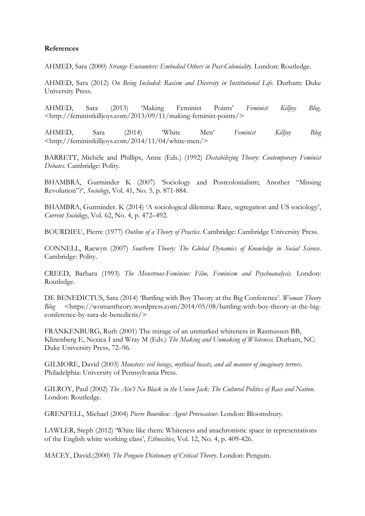# **References**

AHMED, Sara (2000) *Strange Encounters: Embodied Others in Post-Coloniality*. London: Routledge.

AHMED, Sara (2012) *On Being Included: Racism and Diversity in Institutional Life*. Durham: Duke University Press.

AHMED, Sara (2013) 'Making Feminist Points' *Feminist Killjoy Blog*. <http://feministkilljoys.com/2013/09/11/making-feminist-points/>

AHMED, Sara (2014) 'White Men' *Feminist Killjoy Blog* <http://feministkilljoys.com/2014/11/04/white-men/>

BARRETT, Michéle and Phillips, Anne (Eds.) (1992) *Destabilizing Theory: Contemporary Feminist Debates*. Cambridge: Polity.

BHAMBRA, Gurminder K (2007) 'Sociology and Postcolonialism; Another "Missing Revolution"?', *Sociology*, Vol. 41, No. 5, p. 871-884.

BHAMBRA, Gurminder. K (2014) 'A sociological dilemma: Race, segregation and US sociology', *Current Sociology*, Vol. 62, No. 4, p. 472–492.

BOURDIEU, Pierre (1977) *Outline of a Theory of Practice*. Cambridge: Cambridge University Press.

CONNELL, Raewyn (2007) *Southern Theory: The Global Dynamics of Knowledge in Social Science*. Cambridge: Polity.

CREED, Barbara (1993) *The Monstrous-Feminine: Film, Feminism and Psychoanalysis*. London: Routledge.

DE BENEDICTUS, Sara (2014) 'Battling with Boy Theory at the Big Conference'. *Woman Theory Blog* <https://womantheory.wordpress.com/2014/05/08/battling-with-boy-theory-at-the-bigconference-by-sara-de-benedictis/>

FRANKENBURG, Ruth (2001) The mirage of an unmarked whiteness in Rasmussen BB, Klinenberg E, Nexica I and Wray M (Eds.) *The Making and Unmaking of Whiteness.* Durham, NC: Duke University Press, 72–96.

GILMORE, David (2003) *Monsters: evil beings, mythical beasts, and all manner of imaginary terrors*. Philadelphia: University of Pennsylvania Press.

GILROY, Paul (2002) *The Ain't No Black in the Union Jack: The Cultural Politics of Race and Nation*. London: Routledge.

GRENFELL, Michael (2004) *Pierre Bourdieu: Agent Provocateur*. London: Bloomsbury.

LAWLER, Steph (2012) 'White like them: Whiteness and anachronistic space in representations of the English white working class', *Ethnicities*, Vol. 12, No. 4, p. 409-426.

MACEY, David.(2000) *The Penguin Dictionary of Critical Theory*. London: Penguin.